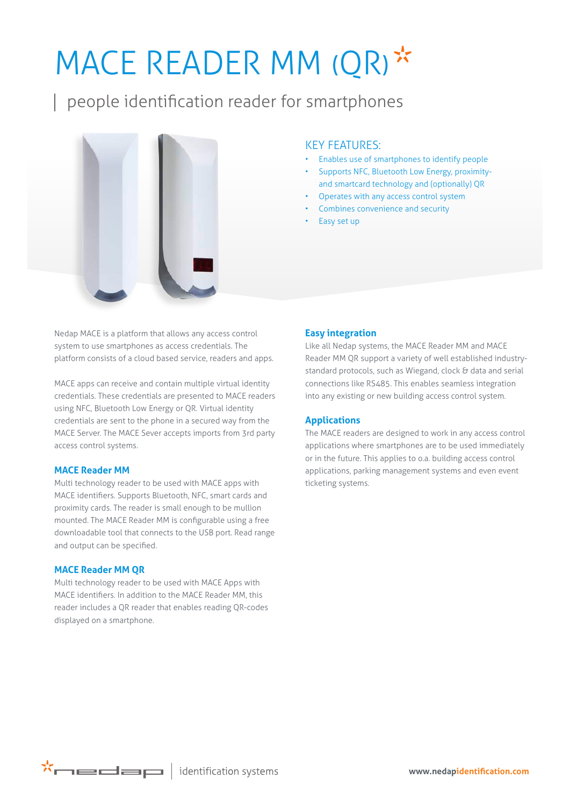# MACE READER MM (QR)\*

people identification reader for smartphones



### KEY FEATURES:

- Enables use of smartphones to identify people
- Supports NFC, Bluetooth Low Energy, proximityand smartcard technology and (optionally) QR
- Operates with any access control system
- Combines convenience and security
- Easy set up

Nedap MACE is a platform that allows any access control system to use smartphones as access credentials. The platform consists of a cloud based service, readers and apps.

MACE apps can receive and contain multiple virtual identity credentials. These credentials are presented to MACE readers using NFC, Bluetooth Low Energy or QR. Virtual identity credentials are sent to the phone in a secured way from the MACE Server. The MACE Sever accepts imports from 3rd party access control systems.

#### **MACE Reader MM**

Multi technology reader to be used with MACE apps with MACE identifiers. Supports Bluetooth, NFC, smart cards and proximity cards. The reader is small enough to be mullion mounted. The MACE Reader MM is configurable using a free downloadable tool that connects to the USB port. Read range and output can be specified.

#### **MACE Reader MM QR**

Multi technology reader to be used with MACE Apps with MACE identifiers. In addition to the MACE Reader MM, this reader includes a QR reader that enables reading QR-codes displayed on a smartphone.

#### **Easy integration**

Like all Nedap systems, the MACE Reader MM and MACE Reader MM QR support a variety of well established industrystandard protocols, such as Wiegand, clock & data and serial connections like RS485. This enables seamless integration into any existing or new building access control system.

#### **Applications**

The MACE readers are designed to work in any access control applications where smartphones are to be used immediately or in the future. This applies to o.a. building access control applications, parking management systems and even event ticketing systems.